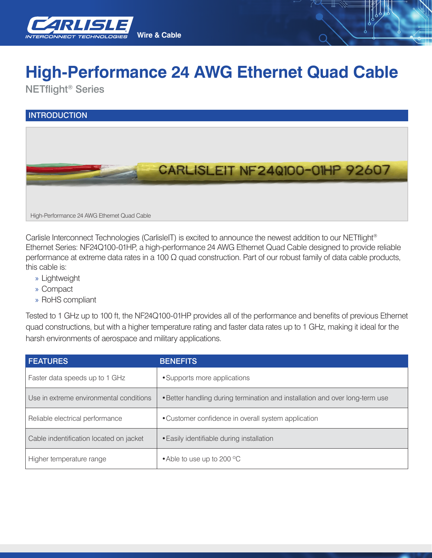

## **High-Performance 24 AWG Ethernet Quad Cable**

NETflight® Series

## **INTRODUCTION**



Carlisle Interconnect Technologies (CarlisleIT) is excited to announce the newest addition to our NETflight<sup>®</sup> Ethernet Series: NF24Q100-01HP, a high-performance 24 AWG Ethernet Quad Cable designed to provide reliable performance at extreme data rates in a 100 Ω quad construction. Part of our robust family of data cable products, this cable is:

- » Lightweight
- » Compact
- » RoHS compliant

Tested to 1 GHz up to 100 ft, the NF24Q100-01HP provides all of the performance and benefits of previous Ethernet quad constructions, but with a higher temperature rating and faster data rates up to 1 GHz, making it ideal for the harsh environments of aerospace and military applications.

| <b>FEATURES</b>                         | <b>BENEFITS</b>                                                              |  |
|-----------------------------------------|------------------------------------------------------------------------------|--|
| Faster data speeds up to 1 GHz          | • Supports more applications                                                 |  |
| Use in extreme environmental conditions | . Better handling during termination and installation and over long-term use |  |
| Reliable electrical performance         | • Customer confidence in overall system application                          |  |
| Cable indentification located on jacket | • Easily identifiable during installation                                    |  |
| Higher temperature range                | • Able to use up to 200 °C                                                   |  |